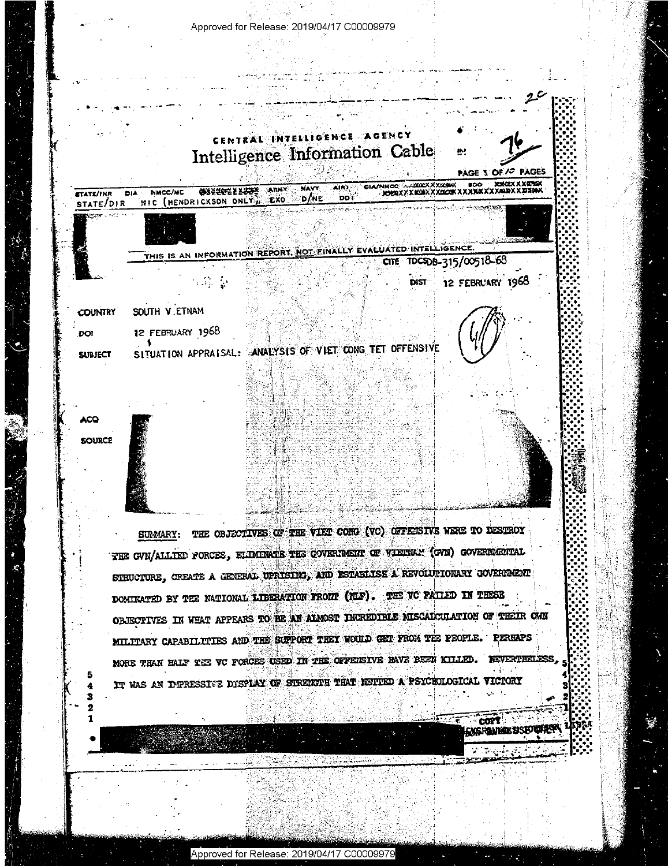

SUMARY: THE OBJECTIVES OF THE VIET CONG (VC) OFFETSIVE WERE TO DESTROY THE GVN/ALLIED FORCES, ELDALWATE THE GOVERNMENT OF VIETRA (GVN) GOVERNMENTAL STRUCTURE, CREATE A GENERAL OPRISING, AND ESTABLISE A REVOLUTIONARY COVERNMENT DOMINATED BY TEE NATIONAL LIBERATION FROME (MLF). THE VC FAILED IN THESE OBJECTIVES IN WHAT APPEARS TO BE AN ALMOST INCREDIBLE MISCALCULATION OF THEIR CAN MILITARY CAPABILITIES AND THE SUFFORT THEY WOULD GET FROM THE PEOPLE. PERHAPS MORE THAN HALF THE VC FORCES USED IN THE OFFERSIVE HAVE BEEN KILLED. NEVERTHELESS IT WAS AN IMPRESSIVE DISPLAY OF STRENCTH THAT NEITED A PSYCHOLOGICAL VICTORY

**REAL PROPERTY** 

وتكار المستردان

**SKSROUNDE SISTO OF REPA** 

Approved for Release: 2019/04/17 C00009979

1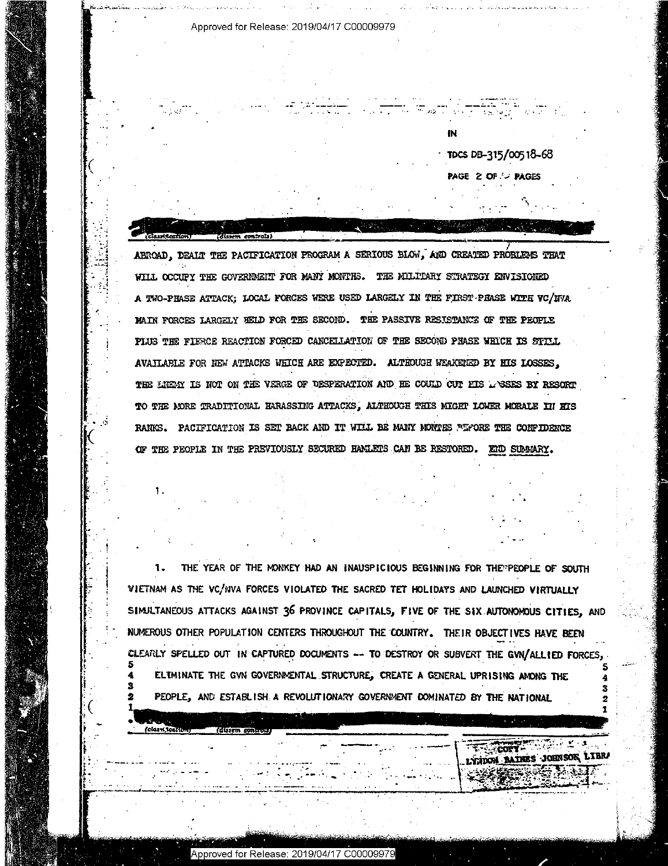TDCS DB-315/00518-68 PAGE 2 OF 3 PAGES

LYNDON BAINES JOHNSON LIBRA

ABROAD, DEALT THE PACIFICATION PROGRAM A SERIOUS BLOW, AND CREATED PROBLEMS THAT WILL OCCUPY THE GOVERNMENT FOR MANY MONTHS. THE MILITARY STRATEGY ENVISIONED A TWO-PHASE ATTACK; LOCAL FORCES WERE USED LARGELY IN THE FIRST-PHASE WITH VC/HVA MAIN FORCES LARGELY HELD FOR THE SECOND. THE PASSIVE RESISTANCE OF THE PEOPLE PLUS THE FIERCE REACTION FORCED CANCELLATION OF THE SECOND PHASE WHICH IS STILL AVAILABLE FOR NEW ATTACKS WHICH ARE EXPECTED. ALTHOUGH WEAKENED BY HIS LOSSES. THE LIEM IS NOT ON THE VERGE OF DESPERATION AND HE COULD CUT HIS LASSES BY RESORT TO THE MORE TRADITIONAL HARASSING ATTACKS, ALTHOUGH THIS MIGHT LOWER MORALE III HIS RANKS. PACIFICATION IS SET BACK AND IT WILL BE MANY MONTHS NEFORE THE CONFIDENCE OF THE PEOPLE IN THE PREVIOUSLY SECURED HAMLETS CAN BE RESTORED. END SUMMARY.

THE YEAR OF THE MONKEY HAD AN INAUSPICIOUS BEGINNING FOR THE PEOPLE OF SOUTH 1. VIETNAM AS THE VC/NVA FORCES VIOLATED THE SACRED TET HOLIDAYS AND LAUNCHED VIRTUALLY SIMULTANEOUS ATTACKS AGAINST 36 PROVINCE CAPITALS, FIVE OF THE SIX AUTONOMOUS CITIES, AND NUMEROUS OTHER POPULATION CENTERS THROUGHOUT THE COUNTRY. THEIR OBJECTIVES HAVE BEEN CLEARLY SPELLED OUT IN CAPTURED DOCUMENTS -- TO DESTROY OR SUBVERT THE GVN/ALLIED FORCES, ELIMINATE THE GVN GOVERNMENTAL STRUCTURE, CREATE A GENERAL UPRISING AMONG THE PEOPLE, AND ESTABLISH A REVOLUTIONARY GOVERNMENT DOMINATED BY THE NATIONAL

Approved for Release: 2019/04/17 C00009979

folds vi loat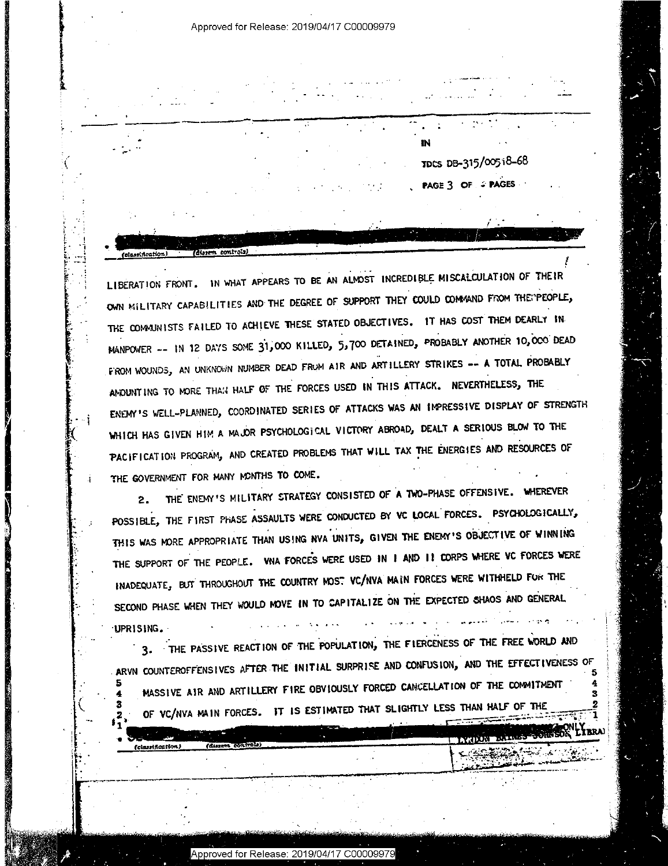Televem controls)

(classification)

LIBERATION FRONT. IN WHAT APPEARS TO BE AN ALMOST INCREDIBLE MISCALCULATION OF THEIR OWN MILITARY CAPABILITIES AND THE DEGREE OF SUPPORT THEY COULD COMMAND FROM THE PEOPLE, THE COMMUNISTS FAILED TO ACHIEVE THESE STATED OBJECTIVES. IT HAS COST THEM DEARLY IN MANPOWER -- IN 12 DAYS SOME 31,000 KILLED, 5,700 DETAINED, PROBABLY ANOTHER 10,000 DEAD FROM WOUNDS, AN UNKNOWN NUMBER DEAD FRUM AIR AND ARTILLERY STRIKES -- A TOTAL PROBABLY AMOUNTING TO MORE THAN HALF OF THE FORCES USED IN THIS ATTACK. NEVERTHELESS, THE ENEMY'S WELL-PLANNED, COORDINATED SERIES OF ATTACKS WAS AN IMPRESSIVE DISPLAY OF STRENGTH WHICH HAS GIVEN HIM A MAJOR PSYCHOLOGICAL VICTORY ABROAD, DEALT A SERIOUS BLOW TO THE PACIFICATION PROGRAM, AND CREATED PROBLEMS THAT WILL TAX THE ENERGIES AND RESOURCES OF THE GOVERNMENT FOR MANY MONTHS TO COME.

łΝ.

TDCS DB-315/00518-68

PAGE 3 OF PAGES

**T.TRRJ** 

THE ENEMY'S MILITARY STRATEGY CONSISTED OF A TWO-PHASE OFFENSIVE. WHEREVER  $2.$ POSSIBLE, THE FIRST PHASE ASSAULTS WERE CONDUCTED BY VC LOCAL FORCES. PSYCHOLOGICALLY, THIS WAS MORE APPROPRIATE THAN USING NVA UNITS, GIVEN THE ENEMY'S OBJECTIVE OF WINNING THE SUPPORT OF THE PEOPLE. VNA FORCES WERE USED IN I AND II CORPS WHERE VC FORCES WERE INADEQUATE, BUT THROUGHOUT THE COUNTRY MOST VC/NVA MAIN FORCES WERE WITHHELD FOR THE SECOND PHASE WHEN THEY WOULD MOVE IN TO CAPITALIZE ON THE EXPECTED SHAOS AND GENERAL UPRISING.

3. THE PASSIVE REACTION OF THE POPULATION, THE FIERCENESS OF THE FREE WORLD AND ARVN COUNTEROFFENSIVES AFTER THE INITIAL SURPRISE AND CONFUSION, AND THE EFFECTIVENESS OF MASSIVE AIR AND ARTILLERY FIRE OBVIOUSLY FORCED CANCELLATION OF THE COMMITMENT Б OF VC/NVA MAIN FORCES. IT IS ESTIMATED THAT SLIGHTLY LESS THAN HALF OF THE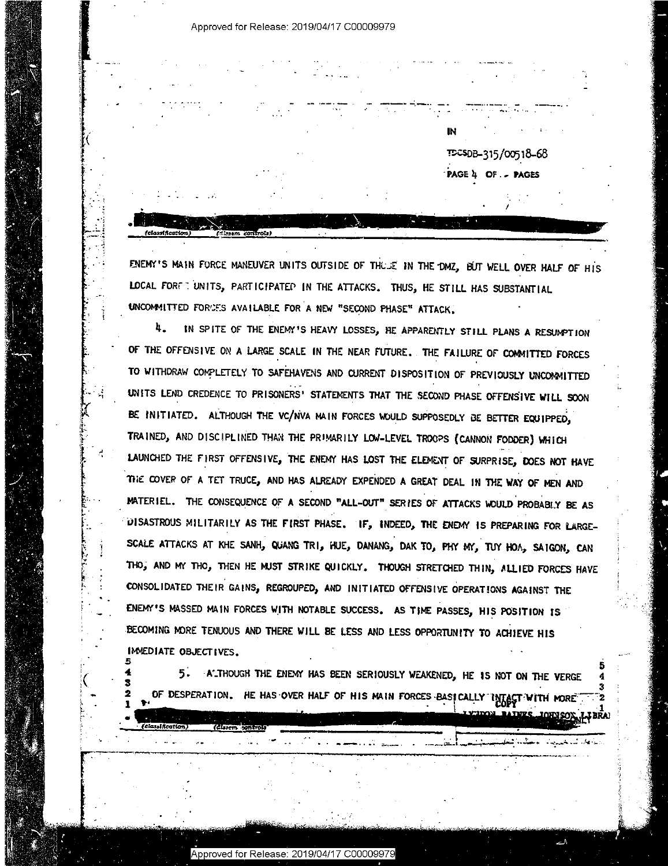ENEMY'S MAIN FORCE MANEUVER UNITS OUTSIDE OF THOSE IN THE DMZ, BUT WELL OVER HALF OF HIS LOCAL FORE UNITS, PARTICIPATED IN THE ATTACKS. THUS, HE STILL HAS SUBSTANTIAL UNCOMMITTED FORCES AVAILABLE FOR A NEW "SECOND PHASE" ATTACK.

TDCSDB-315/00518-68  $PAGE \downarrow OF - PAGES$ 

**CORETAL** 

**LERA** 

4. IN SPITE OF THE ENEMY'S HEAVY LOSSES, HE APPARENTLY STILL PLANS A RESUMPTION OF THE OFFENSIVE ON A LARGE SCALE IN THE NEAR FUTURE. THE FAILURE OF COMMITTED FORCES TO WITHDRAW COMPLETELY TO SAFEHAVENS AND CURRENT DISPOSITION OF PREVIOUSLY UNCOMMITTED UNITS LEND CREDENCE TO PRISONERS' STATEMENTS THAT THE SECOND PHASE OFFENSIVE WILL SOON BE INITIATED. ALTHOUGH THE VC/NVA MAIN FORCES WOULD SUPPOSEDLY BE BETTER EQUIPPED, TRAINED, AND DISCIPLINED THAN THE PRIMARILY LOW-LEVEL TROGPS (CANNON FODDER) WHICH LAUNCHED THE FIRST OFFENSIVE, THE ENEMY HAS LOST THE ELEMENT OF SURPRISE, DOES NOT HAVE THE COVER OF A TET TRUCE, AND HAS ALREADY EXPENDED A GREAT DEAL IN THE WAY OF MEN AND MATERIEL. THE CONSEQUENCE OF A SECOND "ALL-OUT" SERIES OF ATTACKS WOULD PROBABLY BE AS DISASTROUS MILITARILY AS THE FIRST PHASE. IF, INDEED, THE ENEMY IS PREPARING FOR LARGE-SCALE ATTACKS AT KHE SANH, QUANG TRI, HUE, DANANG, DAK TO, PHY MY, TUY HOA, SAIGON, CAN THO, AND MY THO, THEN HE MUST STRIKE QUICKLY. THOUGH STRETCHED THIN, ALLIED FORCES HAVE CONSOLIDATED THEIR GAINS, REGROUPED, AND INITIATED OFFENSIVE OPERATIONS AGAINST THE ENEMY'S MASSED MAIN FORCES WITH NOTABLE SUCCESS. AS TIME PASSES, HIS POSITION IS BECOMING MORE TENUOUS AND THERE WILL BE LESS AND LESS OPPORTUNITY TO ACHIEVE HIS IMMEDIATE OBJECTIVES.

5. ALTHOUGH THE ENEMY HAS BEEN SERIOUSLY WEAKENED, HE IS NOT ON THE VERGE OF DESPERATION. HE HAS OVER HALF OF HIS MAIN FORCES BASICALLY INTERTWITH MORE ົ 2

**Commercial** States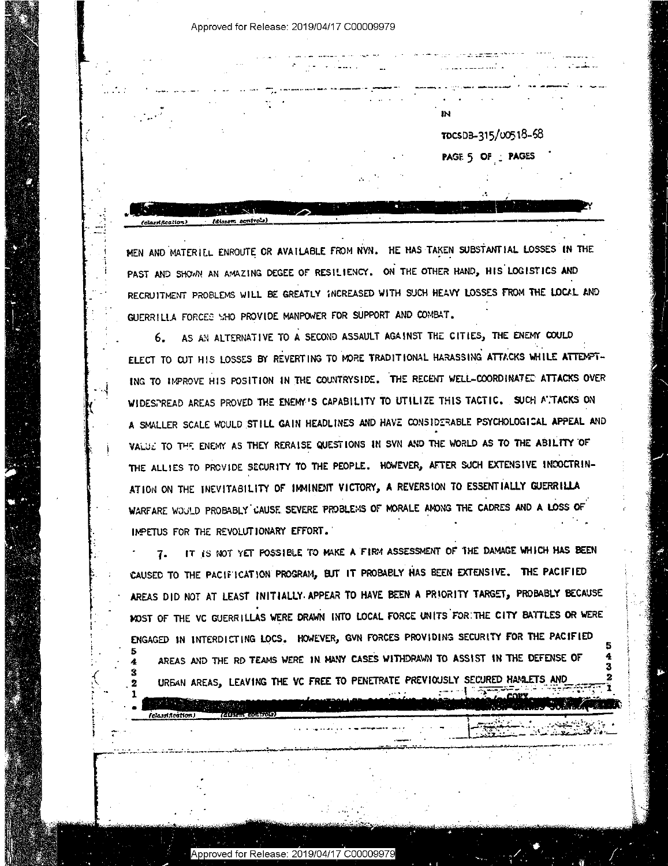faissem centrols)

(classification)

**Colorad Scotton I** 

TDCSD3-315/00518-68 PAGE 5 OF PAGES

MEN AND MATERIEL ENROUTE OR AVAILABLE FROM NVN. HE HAS TAKEN SUBSTANTIAL LOSSES IN THE PAST AND SHOWN AN AMAZING DEGEE OF RESILIENCY. ON THE OTHER HAND, HIS LOGISTICS AND RECRUITMENT PROBLEMS WILL BE GREATLY INCREASED WITH SUCH HEAVY LOSSES FROM THE LOCAL AND GUERRILLA FORCES SHO PROVIDE MANPOWER FOR SUPPORT AND COMBAT.

AS AN ALTERNATIVE TO A SECOND ASSAULT AGAINST THE CITIES, THE ENEMY COULD 6. ELECT TO CUT HIS LOSSES BY REVERTING TO MORE TRADITIONAL HARASSING ATTACKS WHILE ATTEMPT-ING TO IMPROVE HIS POSITION IN THE COUNTRYSIDE. THE RECENT WELL-COORDINATED ATTACKS OVER WIDESPREAD AREAS PROVED THE ENEMM'S CAPABILITY TO UTILIZE THIS TACTIC. SUCH A TACKS ON A SMALLER SCALE WOULD STILL GAIN HEADLINES AND HAVE CONSIDERABLE PSYCHOLOGICAL APPEAL AND VALUE TO THE ENEMY AS THEY RERAISE QUESTIONS IN SVN AND THE WORLD AS TO THE ABILITY OF THE ALLIES TO PROVIDE SECURITY TO THE PEOPLE. HOWEVER, AFTER SUCH EXTENSIVE INDOCTRIN-ATION ON THE INEVITABILITY OF IMMINENT VICTORY, A REVERSION TO ESSENTIALLY GUERRILLA WARFARE WOULD PROBABLY CAUSE SEVERE PROBLEMS OF MORALE AMONG THE CADRES AND A LOSS OF IMPETUS FOR THE REVOLUTIONARY EFFORT.

IT IS NOT YET FOSSIBLE TO MAKE A FIRM ASSESSMENT OF THE DAMAGE WHICH HAS BEEN 7. CAUSED TO THE PACIFICATION PROSRAM, BUT IT PROBABLY HAS BEEN EXTENSIVE. THE PACIFIED AREAS DID NOT AT LEAST INITIALLY APPEAR TO HAVE BEEN A PRIORITY TARGET, PROBABLY BECAUSE MOST OF THE VC GUERRILLAS WERE DRAWN INTO LOCAL FORCE UNITS FOR THE CITY BATTLES OR WERE ENGAGED IN INTERDICTING LOCS. HOWEVER, GVN FORCES PROVIDING SECURITY FOR THE PACIFIED 5 AREAS AND THE RD TEAMS WERE IN MANY CASES WITHDRAWN TO ASSIST IN THE DEFENSE OF URBAN AREAS, LEAVING THE VC FREE TO PENETRATE PREVIOUSLY SECURED HAMLETS AND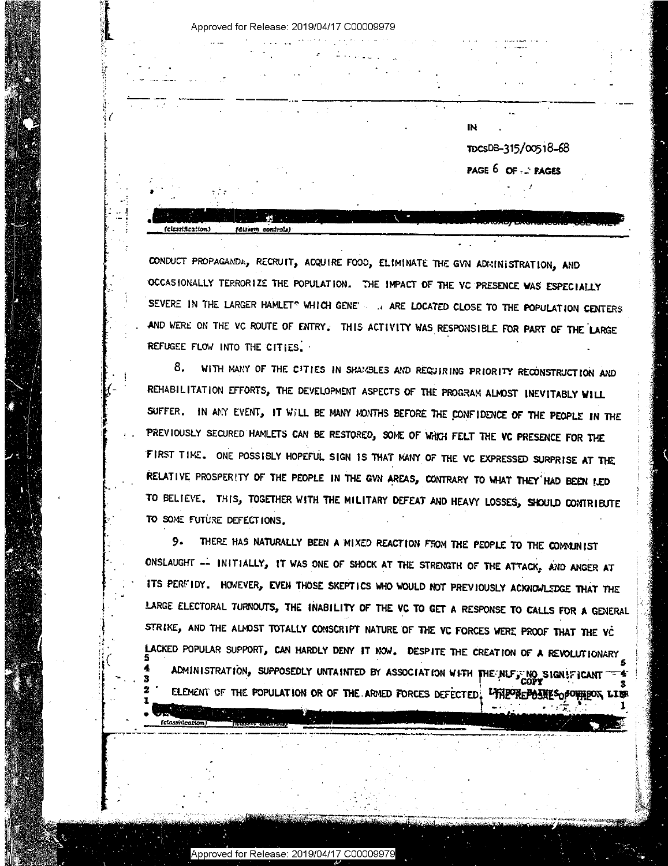TDCSDB-315/00518-68 PAGE 6 OF - FAGES

IN.

(classification) *idirrem* controls)

CONDUCT PROPAGANDA, RECRUIT, ACQUIRE FOOD, ELIMINATE THE GVN ADMINISTRATION, AND OCCASIONALLY TERRORIZE THE POPULATION. THE IMPACT OF THE VC PRESENCE WAS ESPECIALLY SEVERE IN THE LARGER HAMLET? WHICH GENE'... . ARE LOCATED CLOSE TO THE POPULATION CENTERS AND WERE ON THE VC ROUTE OF ENTRY. THIS ACTIVITY WAS RESPONSIBLE FOR PART OF THE LARGE REFUGEE FLOW INTO THE CITIES.

WITH MANY OF THE CITIES IN SHAMBLES AND REQUIRING PRIORITY RECONSTRUCTION AND 8. REHABILITATION EFFORTS, THE DEVELOPMENT ASPECTS OF THE PROGRAM ALMOST INEVITABLY WILL SUFFER. IN ANY EVENT, IT WILL BE MANY MONTHS BEFORE THE CONFIDENCE OF THE PEOPLE IN THE PREVIOUSLY SECURED HAMLETS CAN BE RESTORED, SOME OF WHICH FELT THE VC PRESENCE FOR THE FIRST TIME. ONE POSSIBLY HOPEFUL SIGN IS THAT MANY OF THE VC EXPRESSED SURPRISE AT THE RELATIVE PROSPERITY OF THE PEOPLE IN THE GVN AREAS, CONTRARY TO WHAT THEY HAD BEEN LED TO BELIEVE. THIS, TOGETHER WITH THE MILITARY DEFEAT AND HEAVY LOSSES, SHOULD CONTRIBUTE TO SOME FUTURE DEFECTIONS.

THERE HAS NATURALLY BEEN A MIXED REACTION FFOM THE PEOPLE TO THE COMMUNIST 9. ONSLAUGHT -- INITIALLY, IT WAS ONE OF SHOCK AT THE STRENGTH OF THE ATTACK, AND ANGER AT ITS PERFIDY. HOWEVER, EVEN THOSE SKEPTICS WHO WOULD NOT PREVIOUSLY ACKNOWLEDGE THAT THE LARGE ELECTORAL TURNOUTS, THE INABILITY OF THE VC TO GET A RESPONSE TO CALLS FOR A GENERAL STRIKE, AND THE ALMOST TOTALLY CONSCRIPT NATURE OF THE VC FORCES WERE PROOF THAT THE VC LACKED POPULAR SUPPORT, CAN HARDLY DENY IT NOW. DESPITE THE CREATION OF A REVOLUTIONARY ADMINISTRATION, SUPPOSEDLY UNTAINTED BY ASSOCIATION WITH THE NUT COPY SIGN!FICANT ELEMENT OF THE POPULATION OR OF THE ARMED FORCES DEFECTED. LARIPOREPOSITES OF OPPREOR LIBR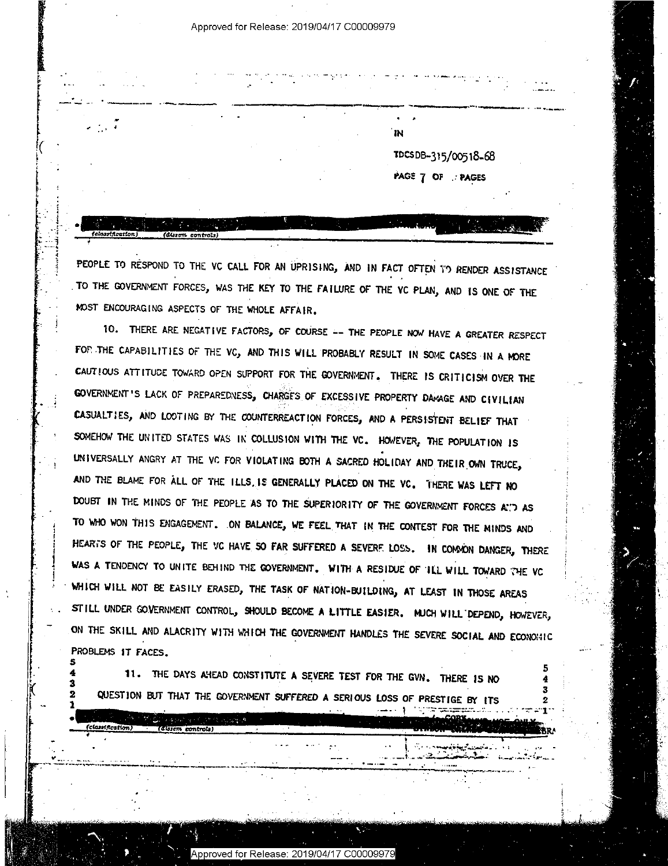ïΝ TDCSDB-315/00518-68 PAGE 7 OF PAGES

PEOPLE TO RESPOND TO THE VC CALL FOR AN UPRISING, AND IN FACT OFTEN TO RENDER ASSISTANCE TO THE GOVERNMENT FORCES, WAS THE KEY TO THE FAILURE OF THE VC PLAN, AND IS ONE OF THE MOST ENCOURAGING ASPECTS OF THE WHOLE AFFAIR.

10. THERE ARE NEGATIVE FACTORS, OF COURSE -- THE PEOPLE NOW HAVE A GREATER RESPECT FOR THE CAPABILITIES OF THE VC, AND THIS WILL PROBABLY RESULT IN SOME CASES IN A MORE CAUTIOUS ATTITUDE TOWARD OPEN SUPPORT FOR THE GOVERNMENT. THERE IS CRITICISM OVER THE GOVERNMENT'S LACK OF PREPAREDNESS, CHARGES OF EXCESSIVE PROPERTY DAMAGE AND CIVILIAN CASUALTIES, AND LOOTING BY THE COUNTERREACTION FORCES, AND A PERSISTENT BELIEF THAT SOMEHOW THE UNITED STATES WAS IN COLLUSION WITH THE VC. HOWEVER, THE POPULATION IS UNIVERSALLY ANGRY AT THE VC FOR VIOLATING BOTH A SACRED HOLIDAY AND THEIR OWN TRUCE, AND THE BLAME FOR ALL OF THE ILLS, IS GENERALLY PLACED ON THE VC. THERE WAS LEFT NO DOUBT IN THE MINDS OF THE PEOPLE AS TO THE SUPERIORITY OF THE GOVERNMENT FORCES AND AS TO WHO WON THIS ENGAGEMENT. ON BALANCE, WE FEEL THAT IN THE CONTEST FOR THE MINDS AND HEARTS OF THE PEOPLE, THE VC HAVE SO FAR SUFFERED A SEVERF LOSS. IN COMMON DANGER, THERE WAS A TENDENCY TO UNITE BEHIND THE GOVERNMENT. WITH A RESIDUE OF TILL WILL TOWARD THE VC WHICH WILL NOT BE EASILY ERASED, THE TASK OF NATION-BUILDING, AT LEAST IN THOSE AREAS STILL UNDER GOVERNMENT CONTROL, SHOULD BECOME A LITTLE EASIER. MUCH WILL DEPEND, HOWEVER, ON THE SKILL AND ALACRITY WITH WHICH THE GOVERNMENT HANDLES THE SEVERE SOCIAL AND ECONOMIC PROBLEMS IT FACES.

11. THE DAYS AHEAD CONSTITUTE A SEVERE TEST FOR THE GVN. THERE IS NO QUESTION BUT THAT THE GOVERNMENT SUFFERED A SERIOUS LOSS OF PRESTIGE BY ITS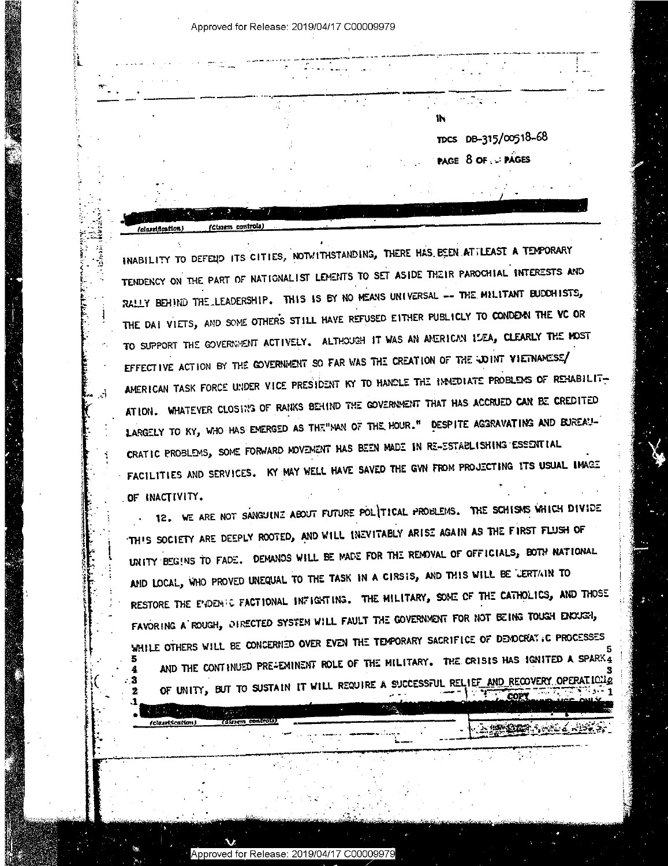TDCS DB-315/00518-68 **PAGE 8 OF ... PAGES** 

(Clasem controls) (classification)

INABILITY TO DEFEUD ITS CITIES, NOTWITHSTANDING, THERE HAS BEEN ATTLEAST A TEMPORARY TENDENCY ON THE PART OF NATIONALIST LEMENTS TO SET ASIDE THEIR PAROCHIAL INTERESTS AND RALLY BEHIND THE LEADERSHIP. THIS IS BY NO MEANS UNIVERSAL -- THE MILITANT BUDDHISTS, THE DAI VIETS, AND SOME OTHERS STILL HAVE REFUSED EITHER PUBLICLY TO CONDEMN THE VC OR TO SUPPORT THE GOVERNMENT ACTIVELY. ALTHOUGH IT WAS AN AMERICAN IDEA, CLEARLY THE MOST EFFECTIVE ACTION BY THE COVERNMENT SO FAR WAS THE CREATION OF THE JOINT VIETNAMESE/ AMERICAN TASK FORCE UNDER VICE PRESIDENT KY TO HANCLE THE IMMEDIATE PROBLEMS OF REHABILIT-ATION. WHATEVER CLOSING OF RANKS BEHIND THE GOVERNMENT THAT HAS ACCRUED CAN BE CREDITED LARGELY TO KY, WHO HAS EMERGED AS THE "MAN OF THE HOUR." DESPITE AGGRAVATING AND BUREAU-CRATIC PROBLEMS, SOME FORWARD MOVEMENT HAS BEEN MADE IN RE-ESTABLISHING ESSENTIAL FACILITIES AND SERVICES. KY MAY WELL HAVE SAVED THE GVN FROM PROJECTING ITS USUAL IMAGE OF INACTIVITY.

12. WE ARE NOT SANGUINE ABOUT FUTURE POLITICAL PROBLEMS. THE SCHISMS WHICH DIVIDE THIS SOCIETY ARE DEEPLY ROOTED, AND WILL INEVITABLY ARISE AGAIN AS THE FIRST FLUSH OF UNITY BEGINS TO FADE. DEMANDS WILL BE MADE FOR THE REMOVAL OF OFFICIALS, BOTH NATIONAL AND LOCAL, WHO PROVED UNEQUAL TO THE TASK IN A CIRSIS, AND THIS WILL BE LERTAIN TO RESTORE THE ENDEMIC FACTIONAL INFIGHTING. THE MILITARY, SOME OF THE CATHOLICS, AND THOSE FAVORING A ROUGH, DIRECTED SYSTEM WILL FAULT THE GOVERNMENT FOR NOT BEING TOUGH ENOUGH, WHILE OTHERS WILL BE CONCERNED OVER EVEN THE TEMPORARY SACRIFICE OF DEMOCRAT (C PROCESSES AND THE CONTINUED PRE-EMINENT ROLE OF THE MILITARY. THE CRISIS HAS IGNITED A SPARK4 OF UNITY, BUT TO SUSTAIN IT WILL REQUIRE A SUCCESSFUL RELIEF AND RECOVERY OPERATIONS З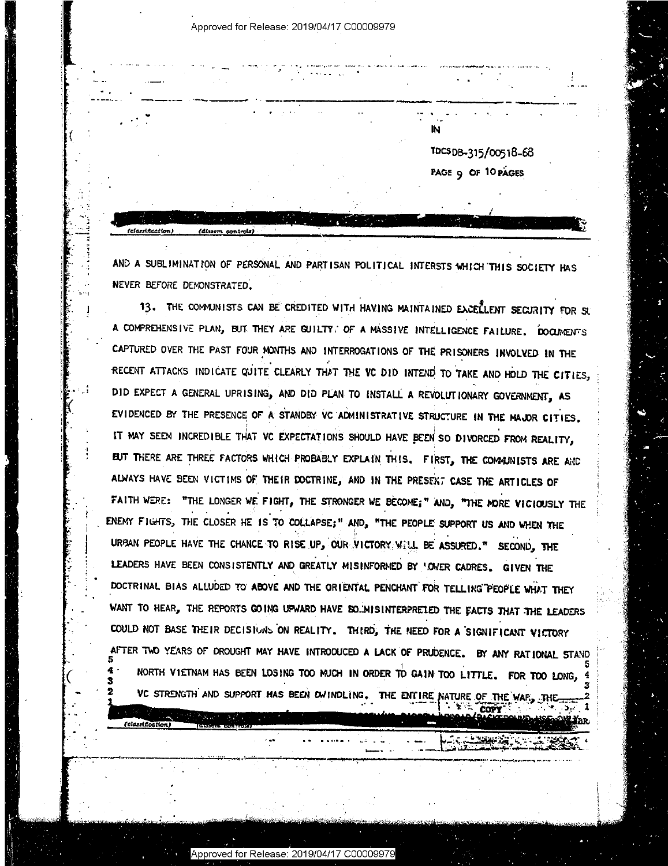(classification)

**felas Afratu** 

(dissem controls)

TDCSDB-315/00518-68 PAGE 9 OF 10 PAGES

IN

AND A SUBLIMINATION OF PERSONAL AND PARTISAN POLITICAL INTERSTS WHICH THIS SOCIETY HAS NEVER BEFORE DEMONSTRATED.

13. THE COMMUNISTS CAN BE CREDITED WITH HAVING MAINTAINED EXCELLENT SECURITY FOR SU A COMPREHENSIVE PLAN, BUT THEY ARE GUILTY. OF A MASSIVE INTELLIGENCE FAILURE. DOCUMENTS CAPTURED OVER THE PAST FOUR MONTHS AND INTERROGATIONS OF THE PRISONERS INVOLVED IN THE RECENT ATTACKS INDICATE QUITE CLEARLY THAT THE VC DID INTEND TO TAKE AND HOLD THE CITIES, DID EXPECT A GENERAL UPRISING, AND DID PLAN TO INSTALL A REVOLUTIONARY GOVERNMENT, AS EVIDENCED BY THE PRESENCE OF A STANDBY VC ADMINISTRATIVE STRUCTURE IN THE MAJOR CITIES. IT MAY SEEM INCREDIBLE THAT VC EXPECTATIONS SHOULD HAVE BEEN SO DIVORCED FROM REALITY, EUT THERE ARE THREE FACTORS WHICH PROBABLY EXPLAIN THIS. FIRST, THE COMMUNISTS ARE AND ALWAYS HAVE BEEN VICTIMS OF THEIR DOCTRINE, AND IN THE PRESENT CASE THE ARTICLES OF FAITH WERE: "THE LONGER WE FIGHT, THE STRONGER WE BECOME;" AND, "THE MORE VICIOUSLY THE ENEMY FIGHTS, THE CLOSER HE IS TO COLLAPSE;" AND, "THE PEOPLE SUPPORT US AND WHEN THE URBAN PEOPLE HAVE THE CHANCE TO RISE UP, OUR VICTORY WILL BE ASSURED." SECOND, THE LEADERS HAVE BEEN CONSISTENTLY AND GREATLY MISINFORMED BY 'OWER CADRES. GIVEN THE DOCTRINAL BIAS ALLUDED TO ABOVE AND THE ORIENTAL PENCHANT FOR TELLING PEOPLE WHAT THEY WANT TO HEAR, THE REPORTS GOING UPWARD HAVE SO. MISINTERPRETED THE FACTS THAT THE LEADERS COULD NOT BASE THEIR DECISIONS ON REALITY. THIRD, THE NEED FOR A SIGNIFICANT VICTORY AFTER TWO YEARS OF DROUGHT MAY HAVE INTRODUCED A LACK OF PRUDENCE. BY ANY RATIONAL STAND NORTH VIETNAM HAS BEEN LOSING TOO MUCH IN ORDER TO GAIN TOO LITTLE. FOR TOO LONG, VC STRENGTH AND SUPPORT HAS BEEN DWINDLING. THE ENTIRE NATURE OF THE WAR, THE **COPY**